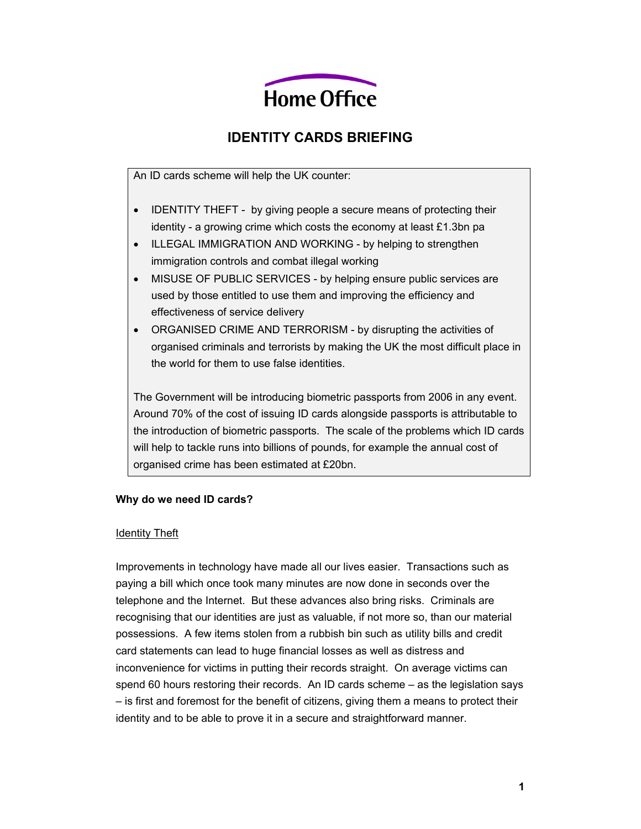

# **IDENTITY CARDS BRIEFING**

An ID cards scheme will help the UK counter:

- IDENTITY THEFT by giving people a secure means of protecting their identity - a growing crime which costs the economy at least £1.3bn pa
- ILLEGAL IMMIGRATION AND WORKING by helping to strengthen immigration controls and combat illegal working
- MISUSE OF PUBLIC SERVICES by helping ensure public services are used by those entitled to use them and improving the efficiency and effectiveness of service delivery
- ORGANISED CRIME AND TERRORISM by disrupting the activities of organised criminals and terrorists by making the UK the most difficult place in the world for them to use false identities.

The Government will be introducing biometric passports from 2006 in any event. Around 70% of the cost of issuing ID cards alongside passports is attributable to the introduction of biometric passports. The scale of the problems which ID cards will help to tackle runs into billions of pounds, for example the annual cost of organised crime has been estimated at £20bn.

## **Why do we need ID cards?**

#### Identity Theft

Improvements in technology have made all our lives easier. Transactions such as paying a bill which once took many minutes are now done in seconds over the telephone and the Internet. But these advances also bring risks. Criminals are recognising that our identities are just as valuable, if not more so, than our material possessions. A few items stolen from a rubbish bin such as utility bills and credit card statements can lead to huge financial losses as well as distress and inconvenience for victims in putting their records straight. On average victims can spend 60 hours restoring their records. An ID cards scheme – as the legislation says – is first and foremost for the benefit of citizens, giving them a means to protect their identity and to be able to prove it in a secure and straightforward manner.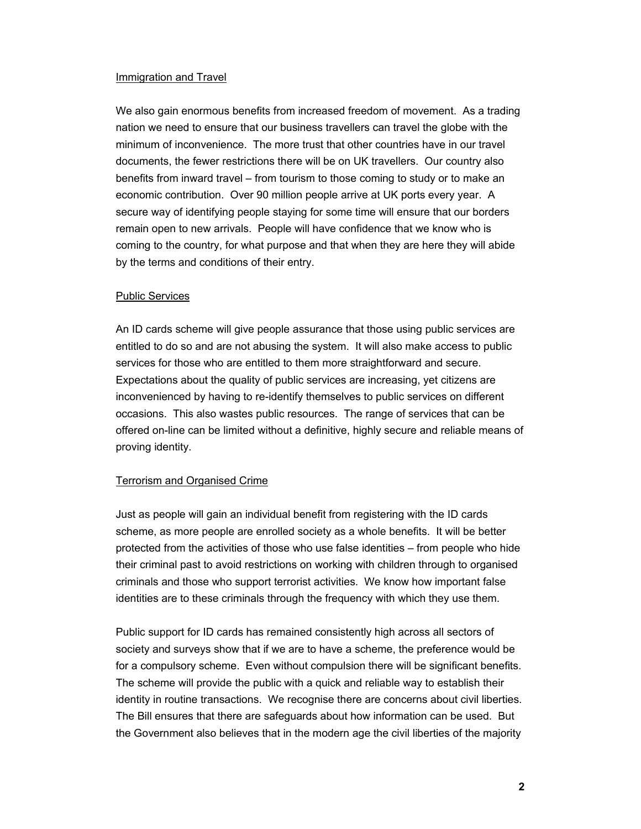#### Immigration and Travel

We also gain enormous benefits from increased freedom of movement. As a trading nation we need to ensure that our business travellers can travel the globe with the minimum of inconvenience. The more trust that other countries have in our travel documents, the fewer restrictions there will be on UK travellers. Our country also benefits from inward travel – from tourism to those coming to study or to make an economic contribution. Over 90 million people arrive at UK ports every year. A secure way of identifying people staying for some time will ensure that our borders remain open to new arrivals. People will have confidence that we know who is coming to the country, for what purpose and that when they are here they will abide by the terms and conditions of their entry.

#### Public Services

An ID cards scheme will give people assurance that those using public services are entitled to do so and are not abusing the system. It will also make access to public services for those who are entitled to them more straightforward and secure. Expectations about the quality of public services are increasing, yet citizens are inconvenienced by having to re-identify themselves to public services on different occasions. This also wastes public resources. The range of services that can be offered on-line can be limited without a definitive, highly secure and reliable means of proving identity.

## Terrorism and Organised Crime

Just as people will gain an individual benefit from registering with the ID cards scheme, as more people are enrolled society as a whole benefits. It will be better protected from the activities of those who use false identities – from people who hide their criminal past to avoid restrictions on working with children through to organised criminals and those who support terrorist activities. We know how important false identities are to these criminals through the frequency with which they use them.

Public support for ID cards has remained consistently high across all sectors of society and surveys show that if we are to have a scheme, the preference would be for a compulsory scheme. Even without compulsion there will be significant benefits. The scheme will provide the public with a quick and reliable way to establish their identity in routine transactions. We recognise there are concerns about civil liberties. The Bill ensures that there are safeguards about how information can be used. But the Government also believes that in the modern age the civil liberties of the majority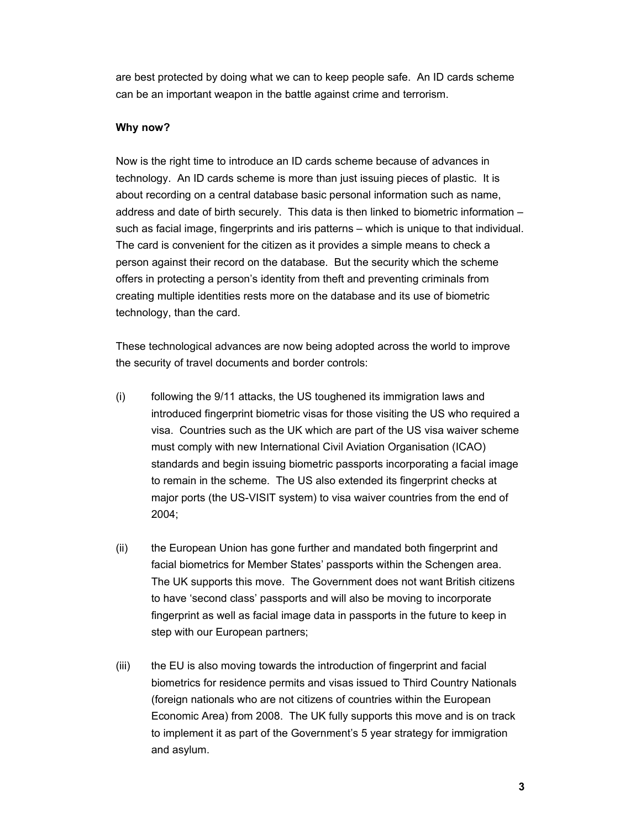are best protected by doing what we can to keep people safe. An ID cards scheme can be an important weapon in the battle against crime and terrorism.

#### **Why now?**

Now is the right time to introduce an ID cards scheme because of advances in technology. An ID cards scheme is more than just issuing pieces of plastic. It is about recording on a central database basic personal information such as name, address and date of birth securely. This data is then linked to biometric information – such as facial image, fingerprints and iris patterns – which is unique to that individual. The card is convenient for the citizen as it provides a simple means to check a person against their record on the database. But the security which the scheme offers in protecting a person's identity from theft and preventing criminals from creating multiple identities rests more on the database and its use of biometric technology, than the card.

These technological advances are now being adopted across the world to improve the security of travel documents and border controls:

- (i) following the 9/11 attacks, the US toughened its immigration laws and introduced fingerprint biometric visas for those visiting the US who required a visa. Countries such as the UK which are part of the US visa waiver scheme must comply with new International Civil Aviation Organisation (ICAO) standards and begin issuing biometric passports incorporating a facial image to remain in the scheme. The US also extended its fingerprint checks at major ports (the US-VISIT system) to visa waiver countries from the end of 2004;
- (ii) the European Union has gone further and mandated both fingerprint and facial biometrics for Member States' passports within the Schengen area. The UK supports this move. The Government does not want British citizens to have 'second class' passports and will also be moving to incorporate fingerprint as well as facial image data in passports in the future to keep in step with our European partners;
- (iii) the EU is also moving towards the introduction of fingerprint and facial biometrics for residence permits and visas issued to Third Country Nationals (foreign nationals who are not citizens of countries within the European Economic Area) from 2008. The UK fully supports this move and is on track to implement it as part of the Government's 5 year strategy for immigration and asylum.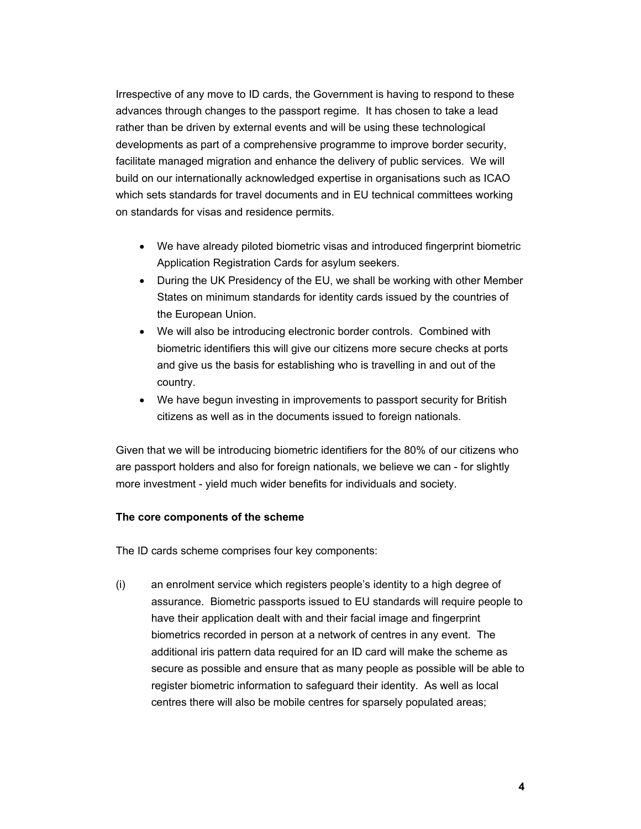Irrespective of any move to ID cards, the Government is having to respond to these advances through changes to the passport regime. It has chosen to take a lead rather than be driven by external events and will be using these technological developments as part of a comprehensive programme to improve border security, facilitate managed migration and enhance the delivery of public services. We will build on our internationally acknowledged expertise in organisations such as ICAO which sets standards for travel documents and in EU technical committees working on standards for visas and residence permits.

- We have already piloted biometric visas and introduced fingerprint biometric Application Registration Cards for asylum seekers.
- During the UK Presidency of the EU, we shall be working with other Member States on minimum standards for identity cards issued by the countries of the European Union.
- We will also be introducing electronic border controls. Combined with biometric identifiers this will give our citizens more secure checks at ports and give us the basis for establishing who is travelling in and out of the country.
- We have begun investing in improvements to passport security for British citizens as well as in the documents issued to foreign nationals.

Given that we will be introducing biometric identifiers for the 80% of our citizens who are passport holders and also for foreign nationals, we believe we can - for slightly more investment - yield much wider benefits for individuals and society.

## **The core components of the scheme**

The ID cards scheme comprises four key components:

(i) an enrolment service which registers people's identity to a high degree of assurance. Biometric passports issued to EU standards will require people to have their application dealt with and their facial image and fingerprint biometrics recorded in person at a network of centres in any event. The additional iris pattern data required for an ID card will make the scheme as secure as possible and ensure that as many people as possible will be able to register biometric information to safeguard their identity. As well as local centres there will also be mobile centres for sparsely populated areas;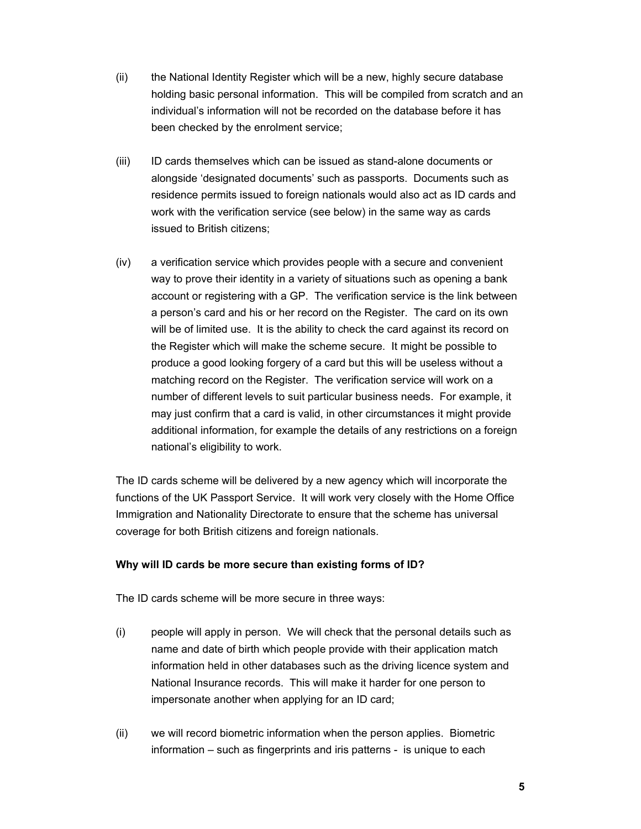- (ii) the National Identity Register which will be a new, highly secure database holding basic personal information. This will be compiled from scratch and an individual's information will not be recorded on the database before it has been checked by the enrolment service;
- (iii) ID cards themselves which can be issued as stand-alone documents or alongside 'designated documents' such as passports. Documents such as residence permits issued to foreign nationals would also act as ID cards and work with the verification service (see below) in the same way as cards issued to British citizens;
- (iv) a verification service which provides people with a secure and convenient way to prove their identity in a variety of situations such as opening a bank account or registering with a GP. The verification service is the link between a person's card and his or her record on the Register. The card on its own will be of limited use. It is the ability to check the card against its record on the Register which will make the scheme secure. It might be possible to produce a good looking forgery of a card but this will be useless without a matching record on the Register. The verification service will work on a number of different levels to suit particular business needs. For example, it may just confirm that a card is valid, in other circumstances it might provide additional information, for example the details of any restrictions on a foreign national's eligibility to work.

The ID cards scheme will be delivered by a new agency which will incorporate the functions of the UK Passport Service. It will work very closely with the Home Office Immigration and Nationality Directorate to ensure that the scheme has universal coverage for both British citizens and foreign nationals.

## **Why will ID cards be more secure than existing forms of ID?**

The ID cards scheme will be more secure in three ways:

- (i) people will apply in person. We will check that the personal details such as name and date of birth which people provide with their application match information held in other databases such as the driving licence system and National Insurance records. This will make it harder for one person to impersonate another when applying for an ID card;
- (ii) we will record biometric information when the person applies. Biometric information – such as fingerprints and iris patterns - is unique to each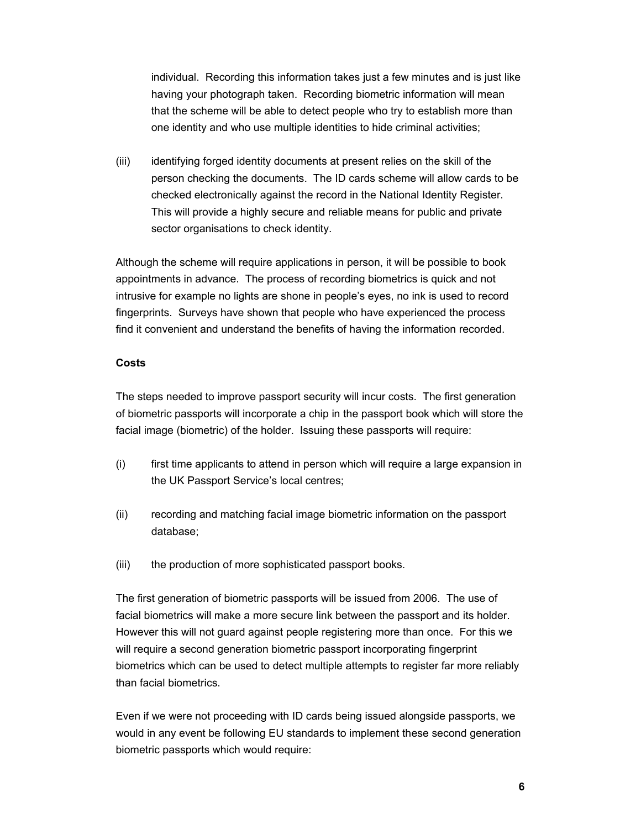individual. Recording this information takes just a few minutes and is just like having your photograph taken. Recording biometric information will mean that the scheme will be able to detect people who try to establish more than one identity and who use multiple identities to hide criminal activities;

(iii) identifying forged identity documents at present relies on the skill of the person checking the documents. The ID cards scheme will allow cards to be checked electronically against the record in the National Identity Register. This will provide a highly secure and reliable means for public and private sector organisations to check identity.

Although the scheme will require applications in person, it will be possible to book appointments in advance. The process of recording biometrics is quick and not intrusive for example no lights are shone in people's eyes, no ink is used to record fingerprints. Surveys have shown that people who have experienced the process find it convenient and understand the benefits of having the information recorded.

## **Costs**

The steps needed to improve passport security will incur costs. The first generation of biometric passports will incorporate a chip in the passport book which will store the facial image (biometric) of the holder. Issuing these passports will require:

- (i) first time applicants to attend in person which will require a large expansion in the UK Passport Service's local centres;
- (ii) recording and matching facial image biometric information on the passport database;
- (iii) the production of more sophisticated passport books.

The first generation of biometric passports will be issued from 2006. The use of facial biometrics will make a more secure link between the passport and its holder. However this will not guard against people registering more than once. For this we will require a second generation biometric passport incorporating fingerprint biometrics which can be used to detect multiple attempts to register far more reliably than facial biometrics.

Even if we were not proceeding with ID cards being issued alongside passports, we would in any event be following EU standards to implement these second generation biometric passports which would require: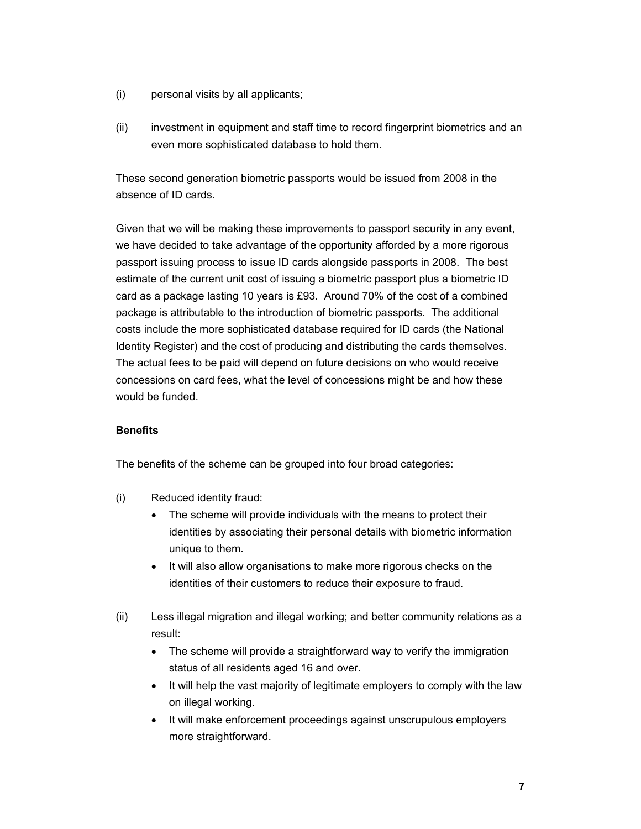- (i) personal visits by all applicants;
- (ii) investment in equipment and staff time to record fingerprint biometrics and an even more sophisticated database to hold them.

These second generation biometric passports would be issued from 2008 in the absence of ID cards.

Given that we will be making these improvements to passport security in any event, we have decided to take advantage of the opportunity afforded by a more rigorous passport issuing process to issue ID cards alongside passports in 2008. The best estimate of the current unit cost of issuing a biometric passport plus a biometric ID card as a package lasting 10 years is £93. Around 70% of the cost of a combined package is attributable to the introduction of biometric passports. The additional costs include the more sophisticated database required for ID cards (the National Identity Register) and the cost of producing and distributing the cards themselves. The actual fees to be paid will depend on future decisions on who would receive concessions on card fees, what the level of concessions might be and how these would be funded.

# **Benefits**

The benefits of the scheme can be grouped into four broad categories:

- (i) Reduced identity fraud:
	- The scheme will provide individuals with the means to protect their identities by associating their personal details with biometric information unique to them.
	- It will also allow organisations to make more rigorous checks on the identities of their customers to reduce their exposure to fraud.
- (ii) Less illegal migration and illegal working; and better community relations as a result:
	- The scheme will provide a straightforward way to verify the immigration status of all residents aged 16 and over.
	- It will help the vast majority of legitimate employers to comply with the law on illegal working.
	- It will make enforcement proceedings against unscrupulous employers more straightforward.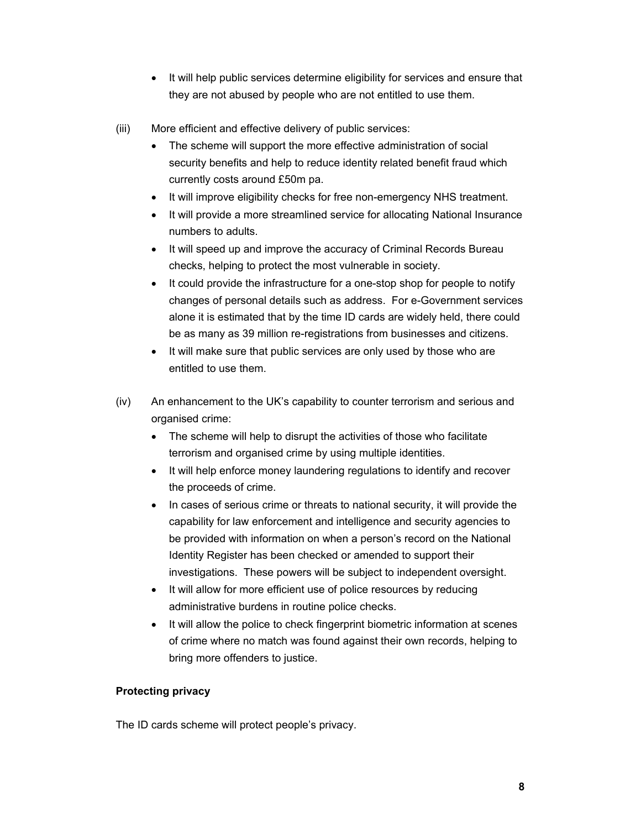- It will help public services determine eligibility for services and ensure that they are not abused by people who are not entitled to use them.
- (iii) More efficient and effective delivery of public services:
	- The scheme will support the more effective administration of social security benefits and help to reduce identity related benefit fraud which currently costs around £50m pa.
	- It will improve eligibility checks for free non-emergency NHS treatment.
	- It will provide a more streamlined service for allocating National Insurance numbers to adults.
	- It will speed up and improve the accuracy of Criminal Records Bureau checks, helping to protect the most vulnerable in society.
	- It could provide the infrastructure for a one-stop shop for people to notify changes of personal details such as address. For e-Government services alone it is estimated that by the time ID cards are widely held, there could be as many as 39 million re-registrations from businesses and citizens.
	- It will make sure that public services are only used by those who are entitled to use them.
- (iv) An enhancement to the UK's capability to counter terrorism and serious and organised crime:
	- The scheme will help to disrupt the activities of those who facilitate terrorism and organised crime by using multiple identities.
	- It will help enforce money laundering regulations to identify and recover the proceeds of crime.
	- In cases of serious crime or threats to national security, it will provide the capability for law enforcement and intelligence and security agencies to be provided with information on when a person's record on the National Identity Register has been checked or amended to support their investigations. These powers will be subject to independent oversight.
	- It will allow for more efficient use of police resources by reducing administrative burdens in routine police checks.
	- It will allow the police to check fingerprint biometric information at scenes of crime where no match was found against their own records, helping to bring more offenders to justice.

# **Protecting privacy**

The ID cards scheme will protect people's privacy.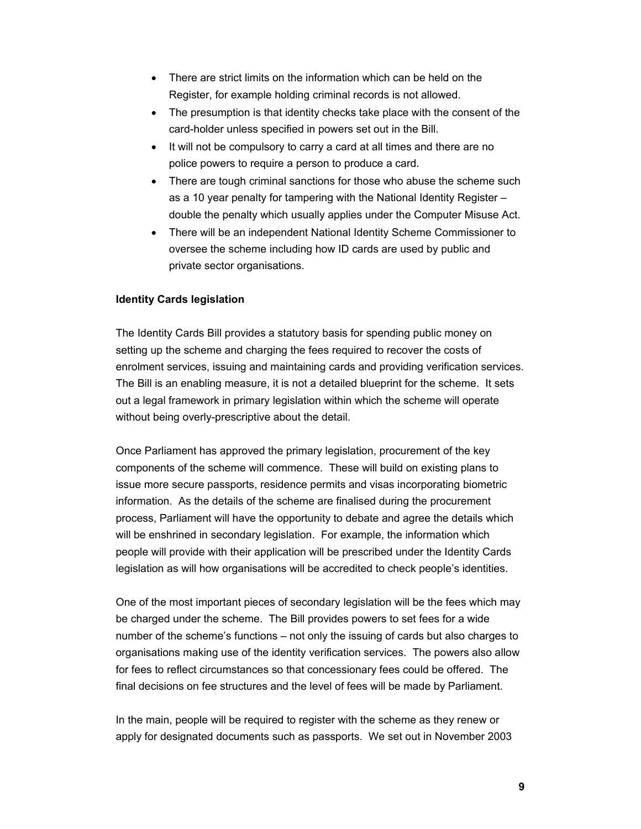- There are strict limits on the information which can be held on the Register, for example holding criminal records is not allowed.
- The presumption is that identity checks take place with the consent of the card-holder unless specified in powers set out in the Bill.
- It will not be compulsory to carry a card at all times and there are no police powers to require a person to produce a card.
- There are tough criminal sanctions for those who abuse the scheme such as a 10 year penalty for tampering with the National Identity Register – double the penalty which usually applies under the Computer Misuse Act.
- There will be an independent National Identity Scheme Commissioner to oversee the scheme including how ID cards are used by public and private sector organisations.

## **Identity Cards legislation**

The Identity Cards Bill provides a statutory basis for spending public money on setting up the scheme and charging the fees required to recover the costs of enrolment services, issuing and maintaining cards and providing verification services. The Bill is an enabling measure, it is not a detailed blueprint for the scheme. It sets out a legal framework in primary legislation within which the scheme will operate without being overly-prescriptive about the detail.

Once Parliament has approved the primary legislation, procurement of the key components of the scheme will commence. These will build on existing plans to issue more secure passports, residence permits and visas incorporating biometric information. As the details of the scheme are finalised during the procurement process, Parliament will have the opportunity to debate and agree the details which will be enshrined in secondary legislation. For example, the information which people will provide with their application will be prescribed under the Identity Cards legislation as will how organisations will be accredited to check people's identities.

One of the most important pieces of secondary legislation will be the fees which may be charged under the scheme. The Bill provides powers to set fees for a wide number of the scheme's functions – not only the issuing of cards but also charges to organisations making use of the identity verification services. The powers also allow for fees to reflect circumstances so that concessionary fees could be offered. The final decisions on fee structures and the level of fees will be made by Parliament.

In the main, people will be required to register with the scheme as they renew or apply for designated documents such as passports. We set out in November 2003